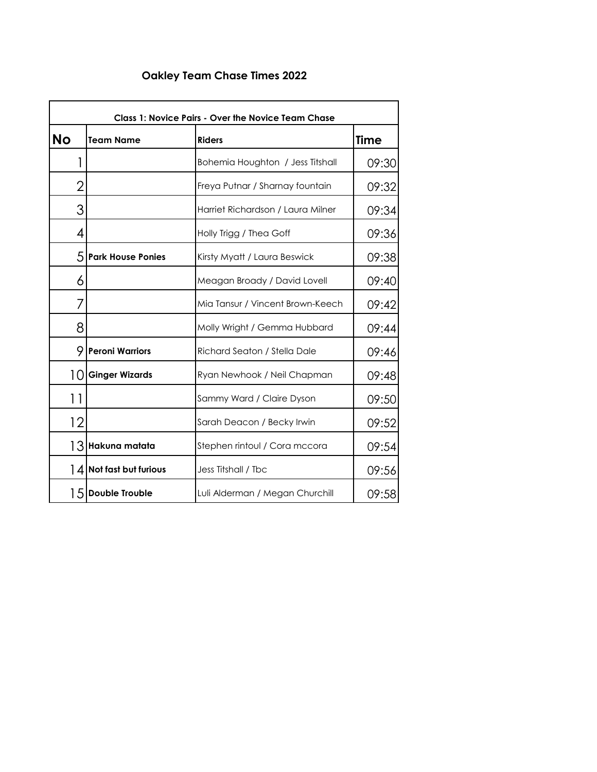## **Oakley Team Chase Times 2022**

|                 | <b>Class 1: Novice Pairs - Over the Novice Team Chase</b> |                                   |             |  |
|-----------------|-----------------------------------------------------------|-----------------------------------|-------------|--|
| <b>No</b>       | <b>Team Name</b>                                          | <b>Riders</b>                     | <b>Time</b> |  |
|                 |                                                           | Bohemia Houghton / Jess Titshall  | 09:30       |  |
| 2               |                                                           | Freya Putnar / Sharnay fountain   | 09:32       |  |
| 3               |                                                           | Harriet Richardson / Laura Milner | 09:34       |  |
| 4               |                                                           | Holly Trigg / Thea Goff           | 09:36       |  |
| 5.              | <b>Park House Ponies</b>                                  | Kirsty Myatt / Laura Beswick      | 09:38       |  |
| 6               |                                                           | Meagan Broady / David Lovell      | 09:40       |  |
| 7               |                                                           | Mia Tansur / Vincent Brown-Keech  | 09:42       |  |
| 8               |                                                           | Molly Wright / Gemma Hubbard      | 09:44       |  |
| 9               | <b>Peroni Warriors</b>                                    | Richard Seaton / Stella Dale      | 09:46       |  |
| 10 <sup>1</sup> | <b>Ginger Wizards</b>                                     | Ryan Newhook / Neil Chapman       | 09:48       |  |
| 11              |                                                           | Sammy Ward / Claire Dyson         | 09:50       |  |
| 12              |                                                           | Sarah Deacon / Becky Irwin        | 09:52       |  |
|                 | 13 Hakuna matata                                          | Stephen rintoul / Cora mccora     | 09:54       |  |
| 14              | Not fast but furious                                      | Jess Titshall / Tbc               | 09:56       |  |
|                 | 15 Double Trouble                                         | Luli Alderman / Megan Churchill   | 09:58       |  |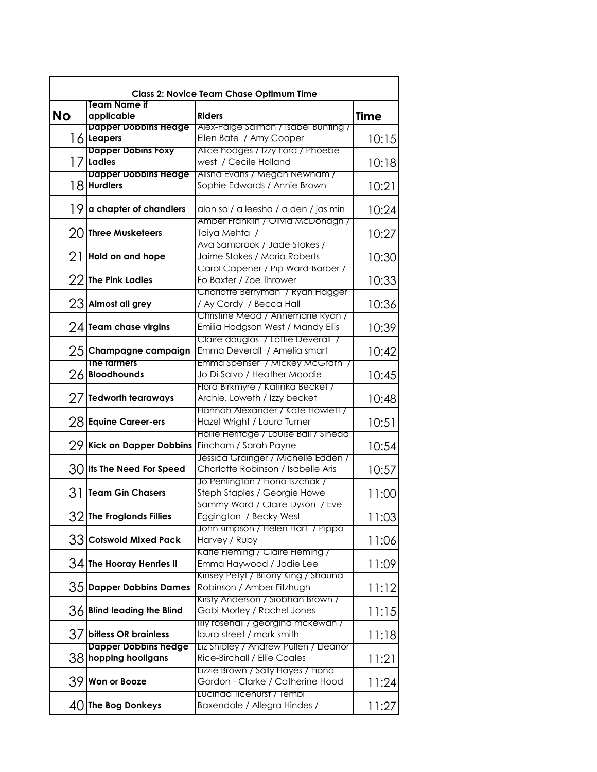| <b>Class 2: Novice Team Chase Optimum Time</b><br><b>Team Name if</b> |                               |                                                                 |             |  |
|-----------------------------------------------------------------------|-------------------------------|-----------------------------------------------------------------|-------------|--|
| <b>No</b>                                                             | applicable                    | <b>Riders</b>                                                   | <b>Time</b> |  |
|                                                                       | <b>Dapper Dobbins Hedge</b>   | Alex-Paige Salmon / Isabel Bunting /                            |             |  |
|                                                                       | 16 Leapers                    | Ellen Bate / Amy Cooper                                         | 10:15       |  |
|                                                                       | <b>Dapper Dobins Foxy</b>     | Alice hodges / Izzy Ford / Phoebe                               |             |  |
|                                                                       | 17 Ladies                     | west / Cecile Holland                                           | 10:18       |  |
|                                                                       | <b>Dapper Dobbins Hedge</b>   | Alisha Evans / Megan Newham /                                   |             |  |
|                                                                       | 18 Hurdlers                   | Sophie Edwards / Annie Brown                                    | 10:21       |  |
|                                                                       |                               |                                                                 |             |  |
| 19                                                                    | a chapter of chandlers        | alon so / a leesha / a den / jas min                            | 10:24       |  |
|                                                                       |                               | Amber Franklin / Olivia McDonagh /                              |             |  |
|                                                                       | 20 Three Musketeers           | Taiya Mehta /                                                   | 10:27       |  |
|                                                                       |                               | Ava Sambrook / Jade Stokes /                                    |             |  |
| 21                                                                    | Hold on and hope              | Jaime Stokes / Maria Roberts                                    | 10:30       |  |
|                                                                       |                               | Carol Capener / Pip Ward-Barber /                               |             |  |
| 22                                                                    | <b>The Pink Ladies</b>        | Fo Baxter / Zoe Thrower                                         | 10:33       |  |
|                                                                       |                               | Charlotte Berryman / Ryan Hagger                                |             |  |
|                                                                       | $23$ Almost all grey          | / Ay Cordy / Becca Hall                                         | 10:36       |  |
|                                                                       |                               | Christine Mead / Annemarie Ryan /                               |             |  |
|                                                                       | $24$ Team chase virgins       | Emilia Hodgson West / Mandy Ellis                               | 10:39       |  |
|                                                                       |                               | Claire douglas / Lottle Deverall /                              |             |  |
|                                                                       | 25 Champagne campaign         | Emma Deverall / Amelia smart                                    | 10:42       |  |
|                                                                       | The tarmers                   | Emma Spenser / Mickey McGrath /                                 |             |  |
| 26                                                                    | <b>Bloodhounds</b>            | Jo Di Salvo / Heather Moodie                                    | 10:45       |  |
|                                                                       |                               | Flora Birkmyre / Katinka Becket /                               |             |  |
| 27                                                                    | <b>Tedworth tearaways</b>     | Archie. Loweth / Izzy becket                                    | 10:48       |  |
|                                                                       |                               | Hannah Alexander / Kate Howlett /                               |             |  |
|                                                                       | 28 Equine Career-ers          | Hazel Wright / Laura Turner                                     | 10:51       |  |
|                                                                       |                               | Hollie Heritage / Louise Ball / Sinead                          |             |  |
| 29.                                                                   | <b>Kick on Dapper Dobbins</b> | Fincham / Sarah Payne                                           | 10:54       |  |
|                                                                       |                               | Jessica Grainger / Michelle Edden /                             |             |  |
|                                                                       | 30 Its The Need For Speed     | Charlotte Robinson / Isabelle Aris                              | 10:57       |  |
| 31                                                                    | <b>Team Gin Chasers</b>       | Jo Penlington / Fiona Iszchak /<br>Steph Staples / Georgie Howe |             |  |
|                                                                       |                               |                                                                 | 11:00       |  |
|                                                                       | 32 The Froglands Fillies      | Sammy Ward / Claire Dyson / Eve<br>Eggington / Becky West       | 11:03       |  |
|                                                                       |                               | John simpson / Helen Hart / Pippa                               |             |  |
|                                                                       | 33 Cotswold Mixed Pack        | Harvey / Ruby                                                   | 11:06       |  |
|                                                                       |                               | Katie Fleming / Claire Fleming /                                |             |  |
|                                                                       | 34 The Hooray Henries II      | Emma Haywood / Jodie Lee                                        | 11:09       |  |
|                                                                       |                               | Kinsey Petyt / Briony King / Shauna                             |             |  |
|                                                                       | 35 Dapper Dobbins Dames       | Robinson / Amber Fitzhugh                                       | 11:12       |  |
|                                                                       |                               | Kirsty Anderson / Siobhan Brown /                               |             |  |
|                                                                       | $36$ Blind leading the Blind  | Gabi Morley / Rachel Jones                                      | 11:15       |  |
|                                                                       |                               | IIIly rosehall / georgina mckewan /                             |             |  |
|                                                                       | 37 bitless OR brainless       | laura street / mark smith                                       | 11:18       |  |
|                                                                       | <b>Dapper Dobbins hedge</b>   | Liz Shipley / Andrew Pullen / Eleanor                           |             |  |
|                                                                       | 38 hopping hooligans          | Rice-Birchall / Ellie Coales                                    | 11:21       |  |
|                                                                       |                               | Lizzie Brown / Sally Hayes / Fiona                              |             |  |
| 391                                                                   | <b>Won or Booze</b>           | Gordon - Clarke / Catherine Hood                                | 11:24       |  |
|                                                                       |                               | Lucinda licehurst / Tembi                                       |             |  |
|                                                                       | $40$ The Bog Donkeys          | Baxendale / Allegra Hindes /                                    | 11:27       |  |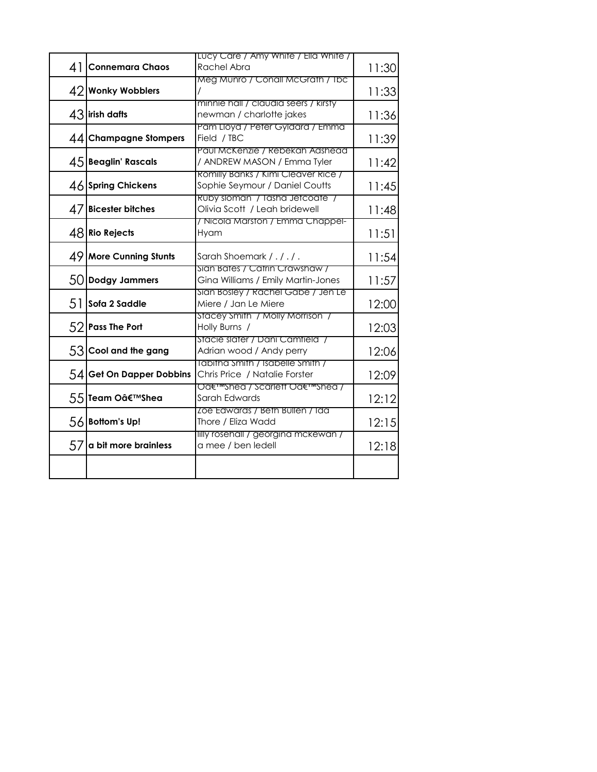|                              | Lucy Care / Amy White / Ella White /                                        |       |
|------------------------------|-----------------------------------------------------------------------------|-------|
| 41<br><b>Connemara Chaos</b> | Rachel Abra                                                                 | 11:30 |
| 42 Wonky Wobblers            | Meg Munro / Conall McGrath / Ibc                                            | 11:33 |
| $43$ lirish dafts            | minnie hall / claudia seers / kirsty<br>newman / charlotte jakes            | 11:36 |
| 44 Champagne Stompers        | Pam Lloyd / Peter Gyldard / Emma<br>Field / TBC                             | 11:39 |
| 45 Beaglin' Rascals          | Paul McKenzie / Rebekah Adshead<br>/ ANDREW MASON / Emma Tyler              | 11:42 |
| 46 Spring Chickens           | Romilly Banks / Kimi Cleaver Rice /<br>Sophie Seymour / Daniel Coutts       | 11:45 |
| $47$ Bicester bitches        | Ruby sloman / lasha Jefcoafe /<br>Olivia Scott / Leah bridewell             | 11:48 |
| $48$ Rio Rejects             | / Nicola Marston / Emma Chappel-<br>Hyam                                    | 11:51 |
| 49 More Cunning Stunts       | Sarah Shoemark / ././.                                                      | 11:54 |
| 50 Dodgy Jammers             | Sian Bates / Catrin Crawshaw /<br>Gina Williams / Emily Martin-Jones        | 11:57 |
| 51<br>Sofa 2 Saddle          | Sian Bosley / Rachel Gabe / Jen Le<br>Miere / Jan Le Miere                  | 12:00 |
| 52 Pass The Port             | Stacey Smith / Molly Morrison /<br>Holly Burns /                            | 12:03 |
| 53 Cool and the gang         | Stacie slater / Dani Camtield /<br>Adrian wood / Andy perry                 | 12:06 |
| 54 Get On Dapper Dobbins     | Iabitha Smith / Isabelle Smith /<br>Chris Price / Natalie Forster           | 12:09 |
| 55 Team O'Shea               | Oa€ <sup>1</sup> mshea / scarlett Oa€ <sup>1</sup> mshea /<br>Sarah Edwards | 12:12 |
| 56 Bottom's Up!              | Loe Edwards / Beth Bullen / Ida<br>Thore / Eliza Wadd                       | 12:15 |
| 57<br>a bit more brainless   | lilly rosehall / georgina mckewan /<br>a mee / ben ledell                   | 12:18 |
|                              |                                                                             |       |
|                              |                                                                             |       |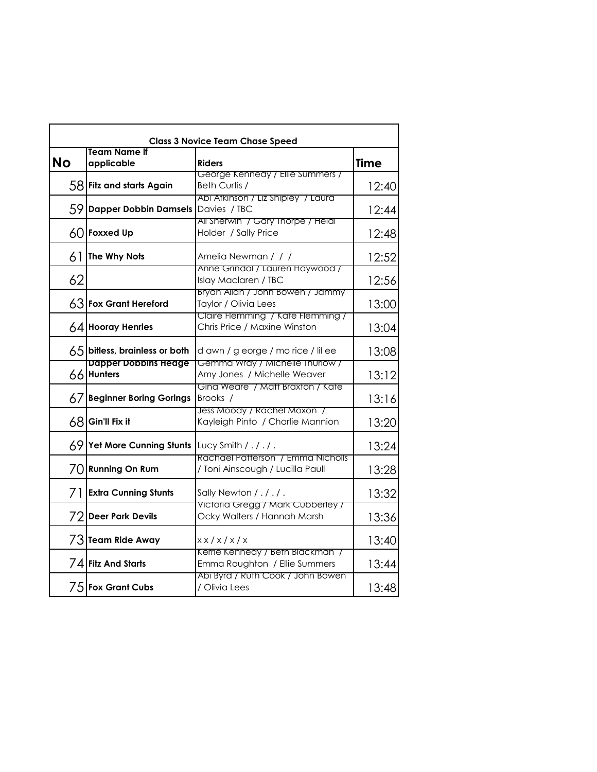| <b>Class 3 Novice Team Chase Speed</b><br><b>Team Name if</b> |                                           |                                                                       |             |  |
|---------------------------------------------------------------|-------------------------------------------|-----------------------------------------------------------------------|-------------|--|
| No                                                            | applicable                                | <b>Riders</b>                                                         | <b>Time</b> |  |
|                                                               | 58 Fitz and starts Again                  | George Kennedy / Ellie Summers /<br>Beth Curtis /                     | 12:40       |  |
|                                                               | 59 Dapper Dobbin Damsels                  | Abi Afkinson / Liz Shipley / Laura<br>Davies / TBC                    | 12:44       |  |
|                                                               | $60$ Foxxed Up                            | Ali Sherwin / Gary Thorpe / Heidi<br>Holder / Sally Price             | 12:48       |  |
| 61                                                            | The Why Nots                              | Amelia Newman / / /                                                   | 12:52       |  |
| 62                                                            |                                           | Anne Grindal / Lauren Haywood /<br>Islay Maclaren / TBC               | 12:56       |  |
|                                                               | 63 Fox Grant Hereford                     | Bryan Allan / John Bowen / Jammy<br>Taylor / Olivia Lees              | 13:00       |  |
|                                                               | $64$ Hooray Henries                       | Claire Flemming / Kate Flemming /<br>Chris Price / Maxine Winston     | 13:04       |  |
|                                                               | $65$ bitless, brainless or both           | d awn / g eorge / mo rice / lil ee                                    | 13:08       |  |
|                                                               | <b>Dapper Dobbins Hedge</b><br>66 Hunters | Gemma Wray / Michelle Ihurlow /<br>Amy Jones / Michelle Weaver        | 13:12       |  |
| 67                                                            | <b>Beginner Boring Gorings</b>            | Gina Weare / Matt Braxton / Kate<br>Brooks /                          | 13:16       |  |
|                                                               | $68$ Gin'll Fix it                        | Jess Moody / Rachel Moxon /<br>Kayleigh Pinto / Charlie Mannion       | 13:20       |  |
|                                                               | 69 Yet More Cunning Stunts                | Lucy Smith $/$ . $/$ . $/$ .                                          | 13:24       |  |
|                                                               | 70 Running On Rum                         | Rachael Patterson / Emma Nicholls<br>/ Toni Ainscough / Lucilla Paull | 13:28       |  |
| 71                                                            | <b>Extra Cunning Stunts</b>               | Sally Newton / ././.                                                  | 13:32       |  |
|                                                               | 72 Deer Park Devils                       | Victoria Gregg / Mark Cubberley /<br>Ocky Walters / Hannah Marsh      | 13:36       |  |
|                                                               | 73 Team Ride Away                         | x x / x / x / x                                                       | 13:40       |  |
|                                                               | 74 Fitz And Starts                        | Kerrie Kennedy / Beth Blackman /<br>Emma Roughton / Ellie Summers     | 13:44       |  |
|                                                               | 75 Fox Grant Cubs                         | Abi Byrd / Ruth Cook / John Bowen<br>/ Olivia Lees                    | 13:48       |  |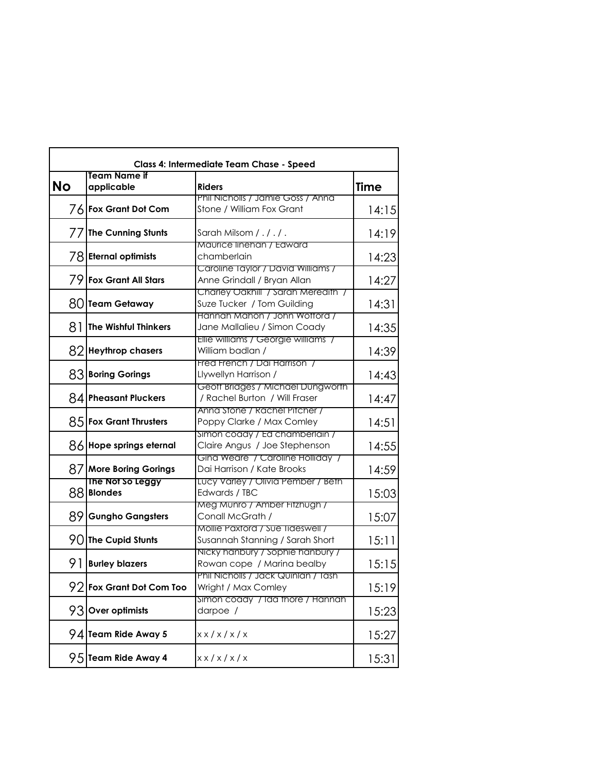| Class 4: Intermediate Team Chase - Speed |                                   |                                                                     |             |
|------------------------------------------|-----------------------------------|---------------------------------------------------------------------|-------------|
| <b>No</b>                                | <b>Team Name if</b><br>applicable | <b>Riders</b>                                                       | <b>Time</b> |
|                                          | 76 Fox Grant Dot Com              | Phil Nicholls / Jamie Goss / Anna<br>Stone / William Fox Grant      | 14:15       |
|                                          | 77 The Cunning Stunts             | Sarah Milsom / . / . / .                                            | 14:19       |
|                                          | 78 Eternal optimists              | Maurice linehan / Edward<br>chamberlain                             | 14:23       |
|                                          | 79 Fox Grant All Stars            | Caroline Taylor / David Williams /<br>Anne Grindall / Bryan Allan   | 14:27       |
|                                          | 80 Team Getaway                   | Charley Oakhill / Sarah Meredith /<br>Suze Tucker / Tom Guilding    | 14:31       |
| 81                                       | The Wishful Thinkers              | Hannah Mahon / John Wottord /<br>Jane Mallalieu / Simon Coady       | 14:35       |
|                                          | 82 Heythrop chasers               | Ellie williams / Georgie williams /<br>William badlan /             | 14:39       |
|                                          | 83 Boring Gorings                 | Fred French / Dai Harrison /<br>Llywellyn Harrison /                | 14:43       |
|                                          | 84 Pheasant Pluckers              | Geoff Bridges / Michael Dungworth<br>/ Rachel Burton / Will Fraser  | 14:47       |
|                                          | 85 Fox Grant Thrusters            | Anna Stone / Rachel Pitcher /<br>Poppy Clarke / Max Comley          | 14:51       |
|                                          | 86 Hope springs eternal           | Simon coady / Ed chamberlain /<br>Claire Angus / Joe Stephenson     | 14:55       |
|                                          | 87 More Boring Gorings            | Gina Weare / Caroline Holliday /<br>Dai Harrison / Kate Brooks      | 14:59       |
|                                          | The Not So Leggy<br>88 Blondes    | Lucy Varley / Olivia Pember / Beth<br>Edwards / TBC                 | 15:03       |
| 891                                      | <b>Gungho Gangsters</b>           | Meg Munro / Amber Fitzhugh /<br>Conall McGrath /                    | 15:07       |
|                                          | $90$ The Cupid Stunts             | Mollie Paxtord / Sue Tideswell /<br>Susannah Stanning / Sarah Short | 15:11       |
| 91                                       | <b>Burley blazers</b>             | Nicky hanbury / Sophie hanbury /<br>Rowan cope / Marina bealby      | 15:15       |
| 92                                       | Fox Grant Dot Com Too             | Phil Nicholls / Jack Quinlan / Iash<br>Wright / Max Comley          | 15:19       |
|                                          | 93 Over optimists                 | Simon coady / Ida thore / Hannah<br>darpoe /                        | 15:23       |
|                                          | 94 Team Ride Away 5               | x x / x / x / x                                                     | 15:27       |
|                                          | 95 Team Ride Away 4               | x x / x / x / x                                                     | 15:31       |